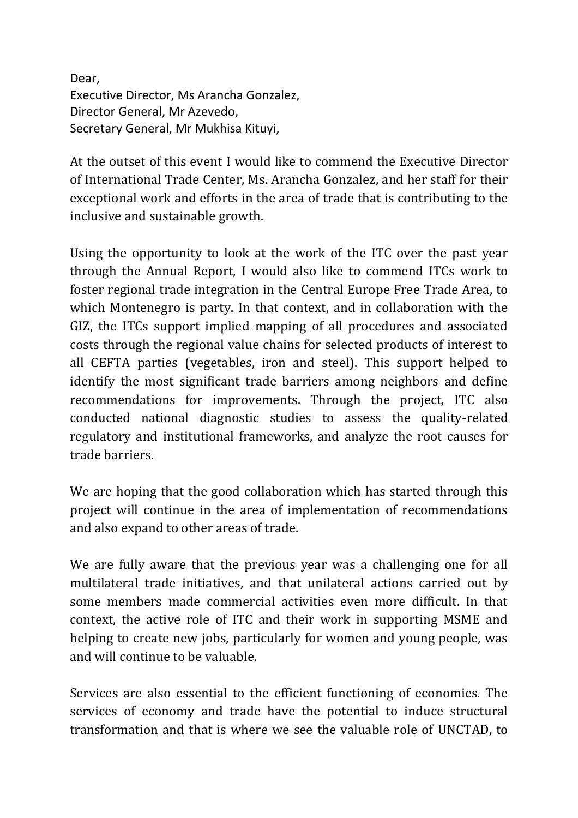Dear, Executive Director, Ms Arancha Gonzalez, Director General, Mr Azevedo, Secretary General, Mr Mukhisa Kituyi,

At the outset of this event I would like to commend the Executive Director of International Trade Center, Ms. Arancha Gonzalez, and her staff for their exceptional work and efforts in the area of trade that is contributing to the inclusive and sustainable growth.

Using the opportunity to look at the work of the ITC over the past year through the Annual Report, I would also like to commend ITCs work to foster regional trade integration in the Central Europe Free Trade Area, to which Montenegro is party. In that context, and in collaboration with the GIZ, the ITCs support implied mapping of all procedures and associated costs through the regional value chains for selected products of interest to all CEFTA parties (vegetables, iron and steel). This support helped to identify the most significant trade barriers among neighbors and define recommendations for improvements. Through the project, ITC also conducted national diagnostic studies to assess the quality-related regulatory and institutional frameworks, and analyze the root causes for trade barriers.

We are hoping that the good collaboration which has started through this project will continue in the area of implementation of recommendations and also expand to other areas of trade.

We are fully aware that the previous year was a challenging one for all multilateral trade initiatives, and that unilateral actions carried out by some members made commercial activities even more difficult. In that context, the active role of ITC and their work in supporting MSME and helping to create new jobs, particularly for women and young people, was and will continue to be valuable.

Services are also essential to the efficient functioning of economies. The services of economy and trade have the potential to induce structural transformation and that is where we see the valuable role of UNCTAD, to